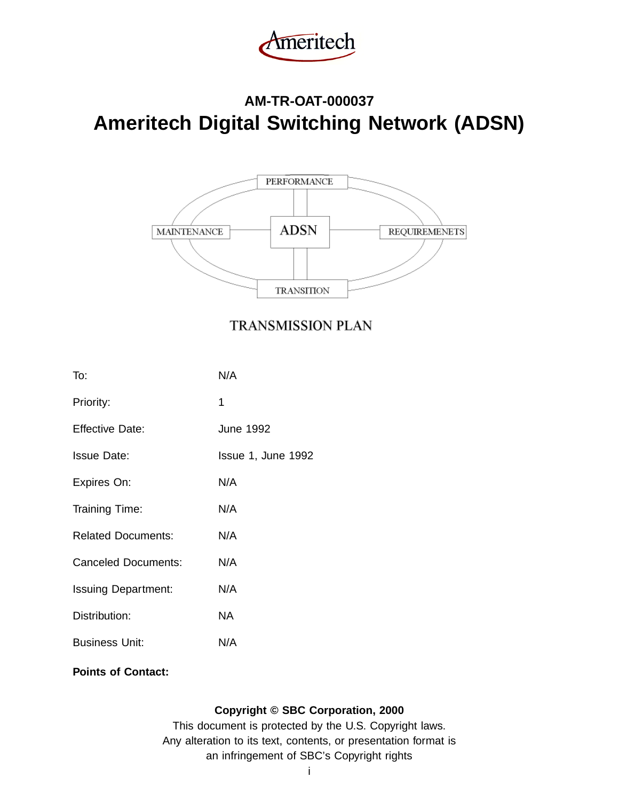

# **AM-TR-OAT-000037 Ameritech Digital Switching Network (ADSN)**



## **TRANSMISSION PLAN**

| To:                        | N/A                |
|----------------------------|--------------------|
| Priority:                  | 1                  |
| <b>Effective Date:</b>     | June 1992          |
| <b>Issue Date:</b>         | Issue 1, June 1992 |
| Expires On:                | N/A                |
| Training Time:             | N/A                |
| <b>Related Documents:</b>  | N/A                |
| <b>Canceled Documents:</b> | N/A                |
| <b>Issuing Department:</b> | N/A                |
| Distribution:              | NA.                |
| <b>Business Unit:</b>      | N/A                |

#### **Points of Contact:**

### **Copyright © SBC Corporation, 2000**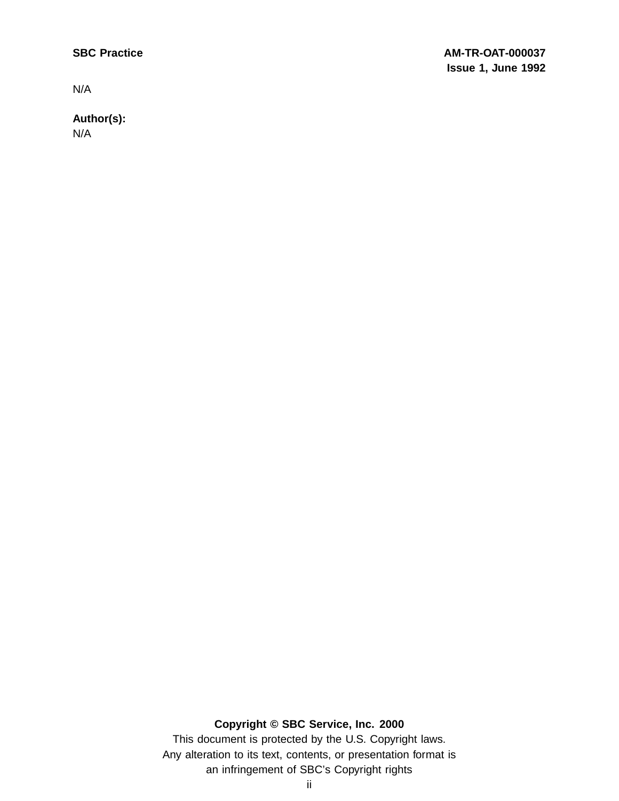N/A

## **Author(s):**

N/A

## **Copyright © SBC Service, Inc. 2000**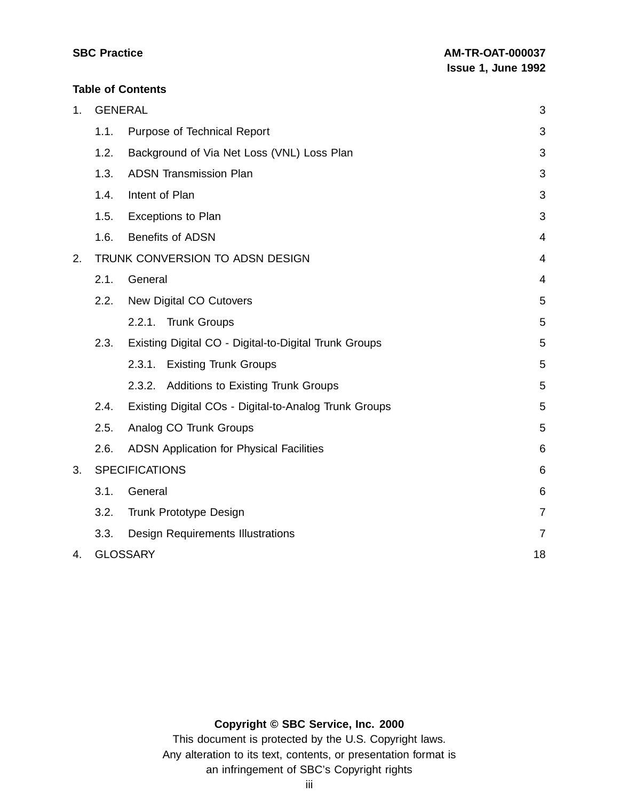#### **Table of Contents**

| 1. | <b>GENERAL</b>                  |                                                       |                 |
|----|---------------------------------|-------------------------------------------------------|-----------------|
|    | 1.1.                            | Purpose of Technical Report                           | 3               |
|    | 1.2.                            | Background of Via Net Loss (VNL) Loss Plan            | 3               |
|    | 1.3.                            | <b>ADSN Transmission Plan</b>                         | 3               |
|    | 1.4.                            | Intent of Plan                                        | 3               |
|    | 1.5.                            | <b>Exceptions to Plan</b>                             | 3               |
|    | 1.6.                            | <b>Benefits of ADSN</b>                               | $\overline{4}$  |
| 2. | TRUNK CONVERSION TO ADSN DESIGN |                                                       | 4               |
|    | 2.1.                            | General                                               | 4               |
|    | 2.2.                            | New Digital CO Cutovers                               | 5               |
|    |                                 | 2.2.1. Trunk Groups                                   | 5               |
|    | 2.3.                            | Existing Digital CO - Digital-to-Digital Trunk Groups | 5               |
|    |                                 | 2.3.1.<br><b>Existing Trunk Groups</b>                | 5               |
|    |                                 | 2.3.2. Additions to Existing Trunk Groups             | 5               |
|    | 2.4.                            | Existing Digital COs - Digital-to-Analog Trunk Groups | 5               |
|    | 2.5.                            | Analog CO Trunk Groups                                | 5               |
|    | 2.6.                            | <b>ADSN Application for Physical Facilities</b>       | $6\phantom{1}6$ |
| 3. |                                 | <b>SPECIFICATIONS</b>                                 | 6               |
|    | 3.1.                            | General                                               | $6\phantom{1}6$ |
|    | 3.2.                            | Trunk Prototype Design                                | 7               |
|    | 3.3.                            | <b>Design Requirements Illustrations</b>              | 7               |
| 4. | <b>GLOSSARY</b>                 |                                                       |                 |

## **Copyright © SBC Service, Inc. 2000**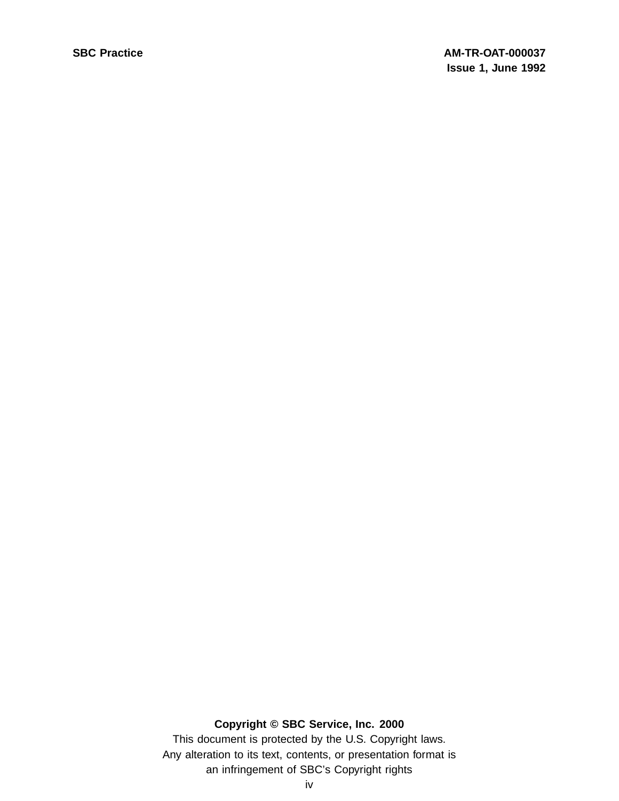## **Copyright © SBC Service, Inc. 2000**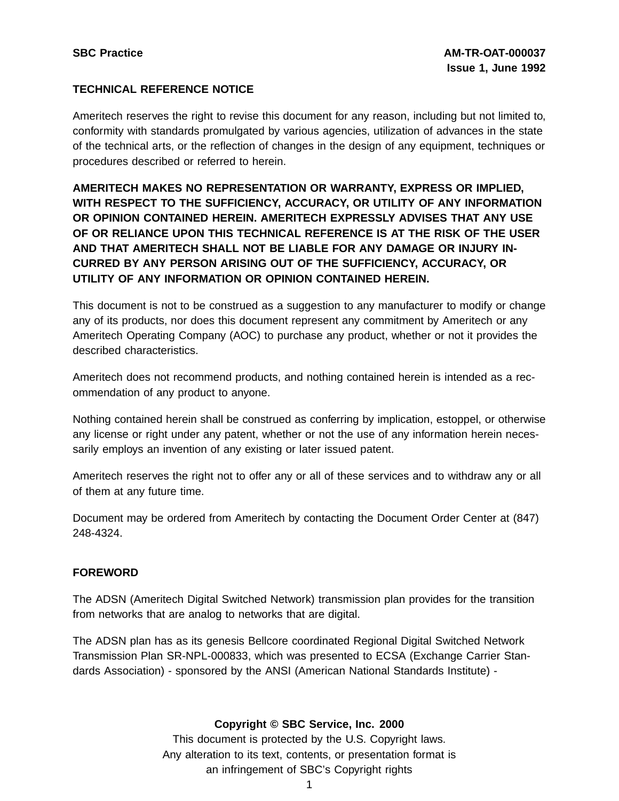#### **TECHNICAL REFERENCE NOTICE**

Ameritech reserves the right to revise this document for any reason, including but not limited to, conformity with standards promulgated by various agencies, utilization of advances in the state of the technical arts, or the reflection of changes in the design of any equipment, techniques or procedures described or referred to herein.

**AMERITECH MAKES NO REPRESENTATION OR WARRANTY, EXPRESS OR IMPLIED, WITH RESPECT TO THE SUFFICIENCY, ACCURACY, OR UTILITY OF ANY INFORMATION OR OPINION CONTAINED HEREIN. AMERITECH EXPRESSLY ADVISES THAT ANY USE OF OR RELIANCE UPON THIS TECHNICAL REFERENCE IS AT THE RISK OF THE USER AND THAT AMERITECH SHALL NOT BE LIABLE FOR ANY DAMAGE OR INJURY IN-CURRED BY ANY PERSON ARISING OUT OF THE SUFFICIENCY, ACCURACY, OR UTILITY OF ANY INFORMATION OR OPINION CONTAINED HEREIN.**

This document is not to be construed as a suggestion to any manufacturer to modify or change any of its products, nor does this document represent any commitment by Ameritech or any Ameritech Operating Company (AOC) to purchase any product, whether or not it provides the described characteristics.

Ameritech does not recommend products, and nothing contained herein is intended as a recommendation of any product to anyone.

Nothing contained herein shall be construed as conferring by implication, estoppel, or otherwise any license or right under any patent, whether or not the use of any information herein necessarily employs an invention of any existing or later issued patent.

Ameritech reserves the right not to offer any or all of these services and to withdraw any or all of them at any future time.

Document may be ordered from Ameritech by contacting the Document Order Center at (847) 248-4324.

#### **FOREWORD**

The ADSN (Ameritech Digital Switched Network) transmission plan provides for the transition from networks that are analog to networks that are digital.

The ADSN plan has as its genesis Bellcore coordinated Regional Digital Switched Network Transmission Plan SR-NPL-000833, which was presented to ECSA (Exchange Carrier Standards Association) - sponsored by the ANSI (American National Standards Institute) -

**Copyright © SBC Service, Inc. 2000**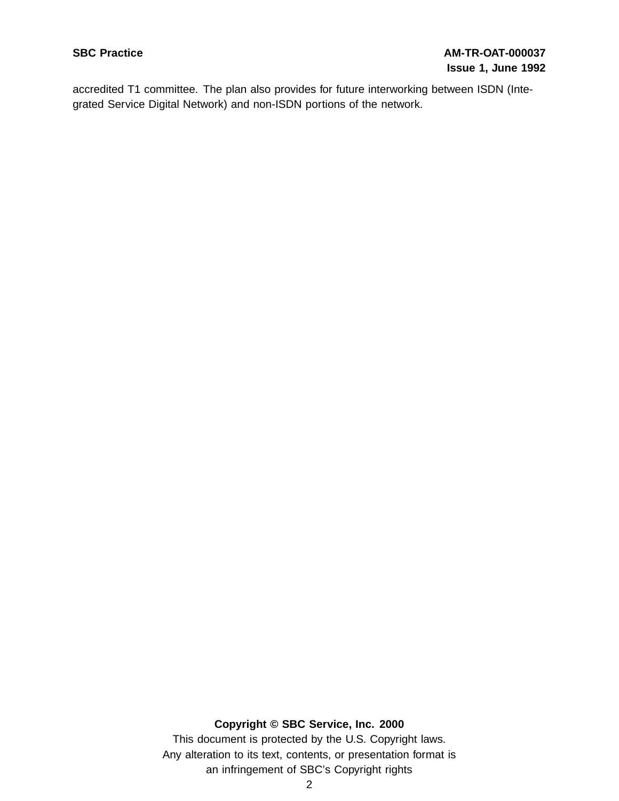accredited T1 committee. The plan also provides for future interworking between ISDN (Integrated Service Digital Network) and non-ISDN portions of the network.

#### **Copyright © SBC Service, Inc. 2000**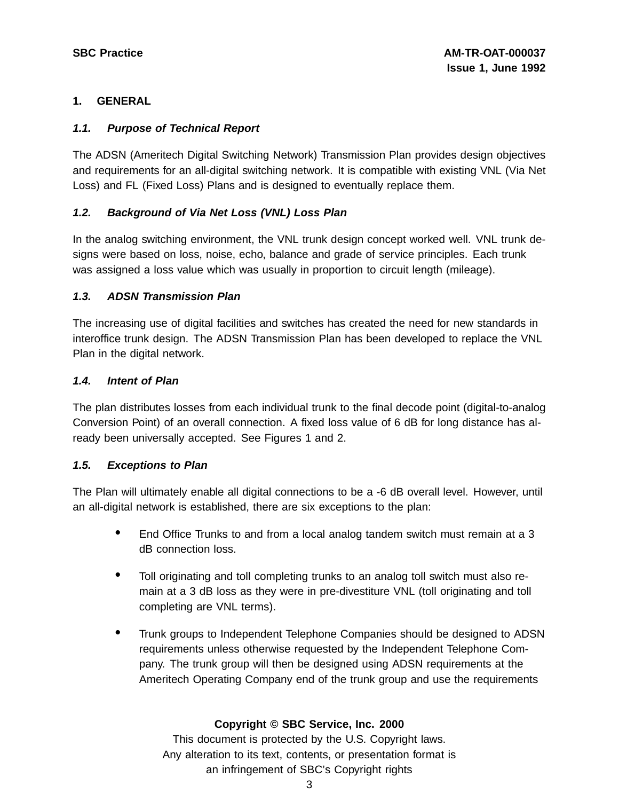#### **1. GENERAL**

#### **1.1. Purpose of Technical Report**

The ADSN (Ameritech Digital Switching Network) Transmission Plan provides design objectives and requirements for an all-digital switching network. It is compatible with existing VNL (Via Net Loss) and FL (Fixed Loss) Plans and is designed to eventually replace them.

#### **1.2. Background of Via Net Loss (VNL) Loss Plan**

In the analog switching environment, the VNL trunk design concept worked well. VNL trunk designs were based on loss, noise, echo, balance and grade of service principles. Each trunk was assigned a loss value which was usually in proportion to circuit length (mileage).

#### **1.3. ADSN Transmission Plan**

The increasing use of digital facilities and switches has created the need for new standards in interoffice trunk design. The ADSN Transmission Plan has been developed to replace the VNL Plan in the digital network.

#### **1.4. Intent of Plan**

The plan distributes losses from each individual trunk to the final decode point (digital-to-analog Conversion Point) of an overall connection. A fixed loss value of 6 dB for long distance has already been universally accepted. See Figures 1 and 2.

### **1.5. Exceptions to Plan**

The Plan will ultimately enable all digital connections to be a -6 dB overall level. However, until an all-digital network is established, there are six exceptions to the plan:

- End Office Trunks to and from <sup>a</sup> local analog tandem switch must remain at <sup>a</sup> <sup>3</sup> dB connection loss.
- Toll originating and toll completing trunks to an analog toll switch must also remain at a 3 dB loss as they were in pre-divestiture VNL (toll originating and toll completing are VNL terms).
- Trunk groups to Independent Telephone Companies should be designed to ADSN requirements unless otherwise requested by the Independent Telephone Company. The trunk group will then be designed using ADSN requirements at the Ameritech Operating Company end of the trunk group and use the requirements

### **Copyright © SBC Service, Inc. 2000**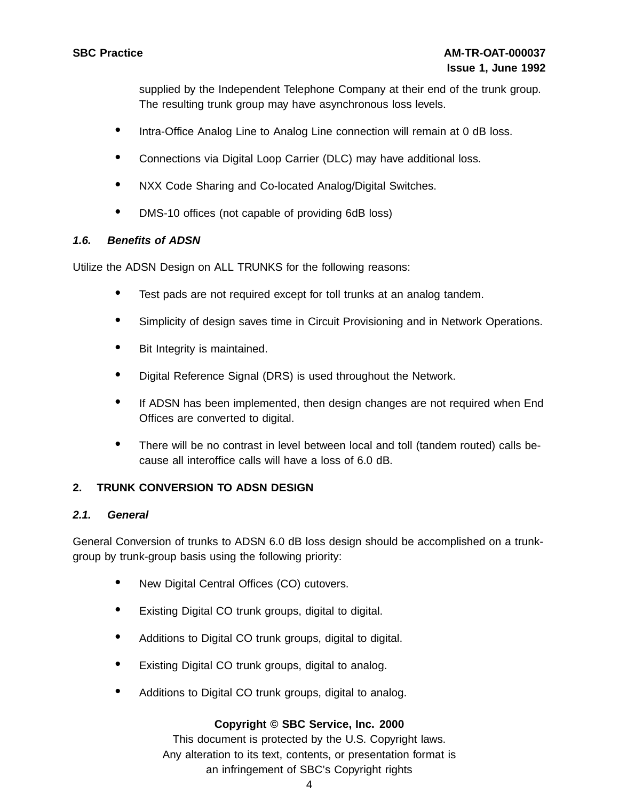supplied by the Independent Telephone Company at their end of the trunk group. The resulting trunk group may have asynchronous loss levels.

- Intra-Office Analog Line to Analog Line connection will remain at <sup>0</sup> dB loss.
- Connections via Digital Loop Carrier (DLC) may have additional loss.
- NXX Code Sharing and Co-located Analog/Digital Switches.
- DMS-10 offices (not capable of providing 6dB loss)

#### **1.6. Benefits of ADSN**

Utilize the ADSN Design on ALL TRUNKS for the following reasons:

- Test pads are not required except for toll trunks at an analog tandem.
- Simplicity of design saves time in Circuit Provisioning and in Network Operations.
- Bit Integrity is maintained.
- Digital Reference Signal (DRS) is used throughout the Network.
- If ADSN has been implemented, then design changes are not required when End Offices are converted to digital.
- There will be no contrast in level between local and toll (tandem routed) calls because all interoffice calls will have a loss of 6.0 dB.

#### **2. TRUNK CONVERSION TO ADSN DESIGN**

#### **2.1. General**

General Conversion of trunks to ADSN 6.0 dB loss design should be accomplished on a trunkgroup by trunk-group basis using the following priority:

- New Digital Central Offices (CO) cutovers.
- Existing Digital CO trunk groups, digital to digital.
- Additions to Digital CO trunk groups, digital to digital.
- Existing Digital CO trunk groups, digital to analog.
- Additions to Digital CO trunk groups, digital to analog.

#### **Copyright © SBC Service, Inc. 2000**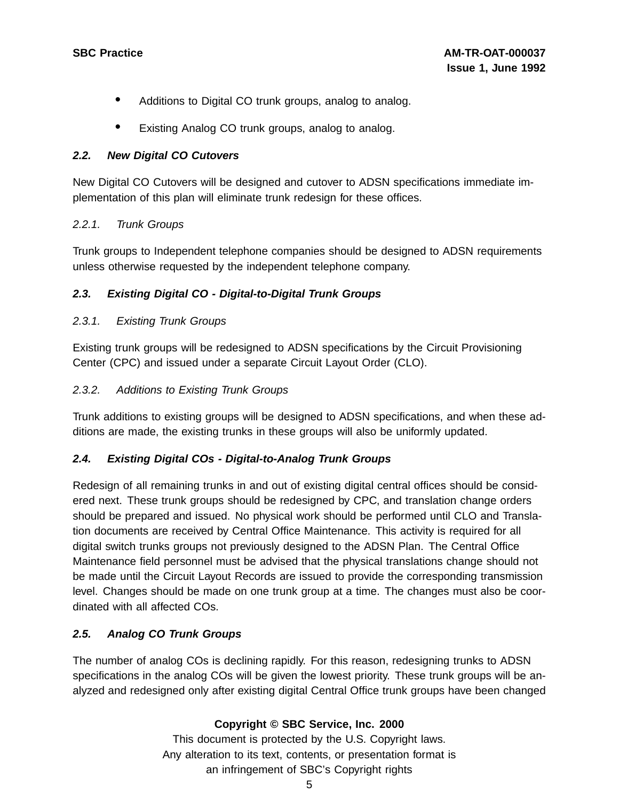- Additions to Digital CO trunk groups, analog to analog.
- Existing Analog CO trunk groups, analog to analog.

#### **2.2. New Digital CO Cutovers**

New Digital CO Cutovers will be designed and cutover to ADSN specifications immediate implementation of this plan will eliminate trunk redesign for these offices.

#### 2.2.1. Trunk Groups

Trunk groups to Independent telephone companies should be designed to ADSN requirements unless otherwise requested by the independent telephone company.

#### **2.3. Existing Digital CO - Digital-to-Digital Trunk Groups**

#### 2.3.1. Existing Trunk Groups

Existing trunk groups will be redesigned to ADSN specifications by the Circuit Provisioning Center (CPC) and issued under a separate Circuit Layout Order (CLO).

#### 2.3.2. Additions to Existing Trunk Groups

Trunk additions to existing groups will be designed to ADSN specifications, and when these additions are made, the existing trunks in these groups will also be uniformly updated.

#### **2.4. Existing Digital COs - Digital-to-Analog Trunk Groups**

Redesign of all remaining trunks in and out of existing digital central offices should be considered next. These trunk groups should be redesigned by CPC, and translation change orders should be prepared and issued. No physical work should be performed until CLO and Translation documents are received by Central Office Maintenance. This activity is required for all digital switch trunks groups not previously designed to the ADSN Plan. The Central Office Maintenance field personnel must be advised that the physical translations change should not be made until the Circuit Layout Records are issued to provide the corresponding transmission level. Changes should be made on one trunk group at a time. The changes must also be coordinated with all affected COs.

#### **2.5. Analog CO Trunk Groups**

The number of analog COs is declining rapidly. For this reason, redesigning trunks to ADSN specifications in the analog COs will be given the lowest priority. These trunk groups will be analyzed and redesigned only after existing digital Central Office trunk groups have been changed

#### **Copyright © SBC Service, Inc. 2000**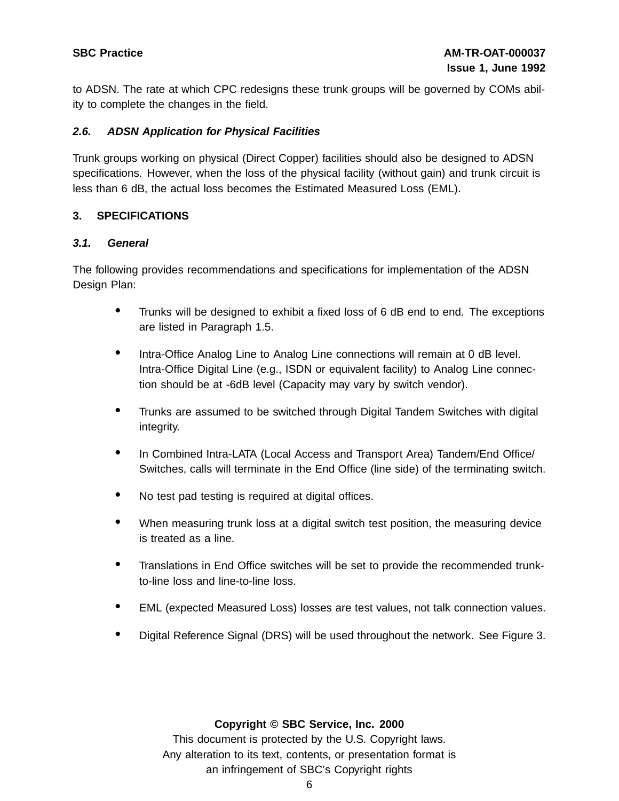to ADSN. The rate at which CPC redesigns these trunk groups will be governed by COMs ability to complete the changes in the field.

#### **2.6. ADSN Application for Physical Facilities**

Trunk groups working on physical (Direct Copper) facilities should also be designed to ADSN specifications. However, when the loss of the physical facility (without gain) and trunk circuit is less than 6 dB, the actual loss becomes the Estimated Measured Loss (EML).

#### **3. SPECIFICATIONS**

#### **3.1. General**

The following provides recommendations and specifications for implementation of the ADSN Design Plan:

- Trunks will be designed to exhibit <sup>a</sup> fixed loss of <sup>6</sup> dB end to end. The exceptions are listed in Paragraph 1.5.
- Intra-Office Analog Line to Analog Line connections will remain at 0 dB level. Intra-Office Digital Line (e.g., ISDN or equivalent facility) to Analog Line connection should be at -6dB level (Capacity may vary by switch vendor).
- Trunks are assumed to be switched through Digital Tandem Switches with digital integrity.
- In Combined Intra-LATA (Local Access and Transport Area) Tandem/End Office/ Switches, calls will terminate in the End Office (line side) of the terminating switch.
- No test pad testing is required at digital offices.
- When measuring trunk loss at a digital switch test position, the measuring device is treated as a line.
- Translations in End Office switches will be set to provide the recommended trunkto-line loss and line-to-line loss.
- EML (expected Measured Loss) losses are test values, not talk connection values.
- Digital Reference Signal (DRS) will be used throughout the network. See Figure 3.

#### **Copyright © SBC Service, Inc. 2000**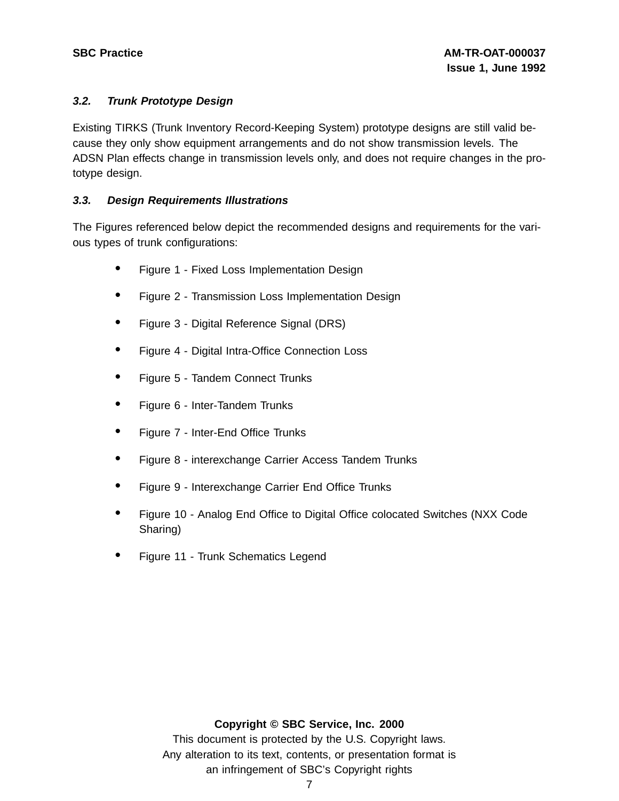#### **3.2. Trunk Prototype Design**

Existing TIRKS (Trunk Inventory Record-Keeping System) prototype designs are still valid because they only show equipment arrangements and do not show transmission levels. The ADSN Plan effects change in transmission levels only, and does not require changes in the prototype design.

#### **3.3. Design Requirements Illustrations**

The Figures referenced below depict the recommended designs and requirements for the various types of trunk configurations:

- Figure <sup>1</sup> Fixed Loss Implementation Design
- Figure <sup>2</sup> Transmission Loss Implementation Design
- Figure <sup>3</sup> Digital Reference Signal (DRS)
- Figure <sup>4</sup> Digital Intra-Office Connection Loss
- Figure <sup>5</sup> Tandem Connect Trunks
- Figure 6 Inter-Tandem Trunks
- Figure <sup>7</sup> Inter-End Office Trunks
- Figure <sup>8</sup> interexchange Carrier Access Tandem Trunks
- Figure <sup>9</sup> Interexchange Carrier End Office Trunks
- Figure <sup>10</sup> Analog End Office to Digital Office colocated Switches (NXX Code Sharing)
- Figure <sup>11</sup> Trunk Schematics Legend

#### **Copyright © SBC Service, Inc. 2000**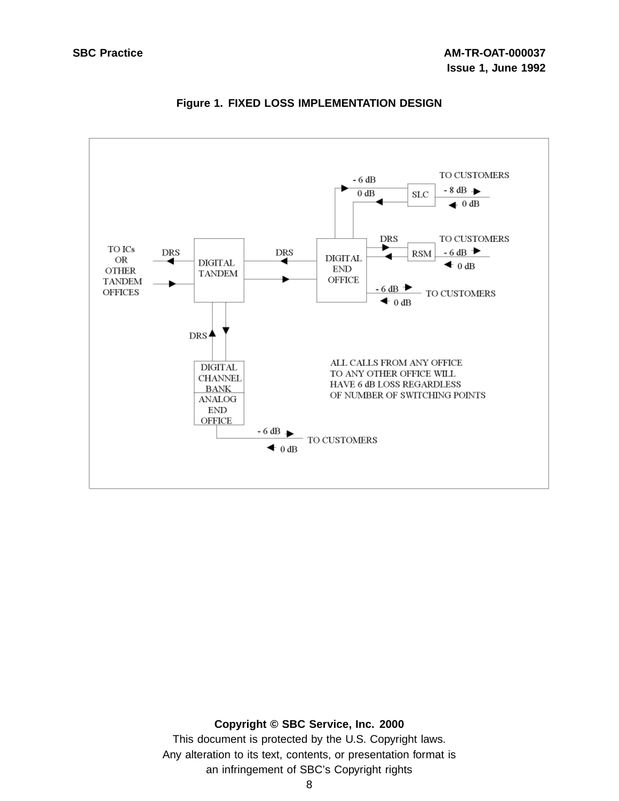

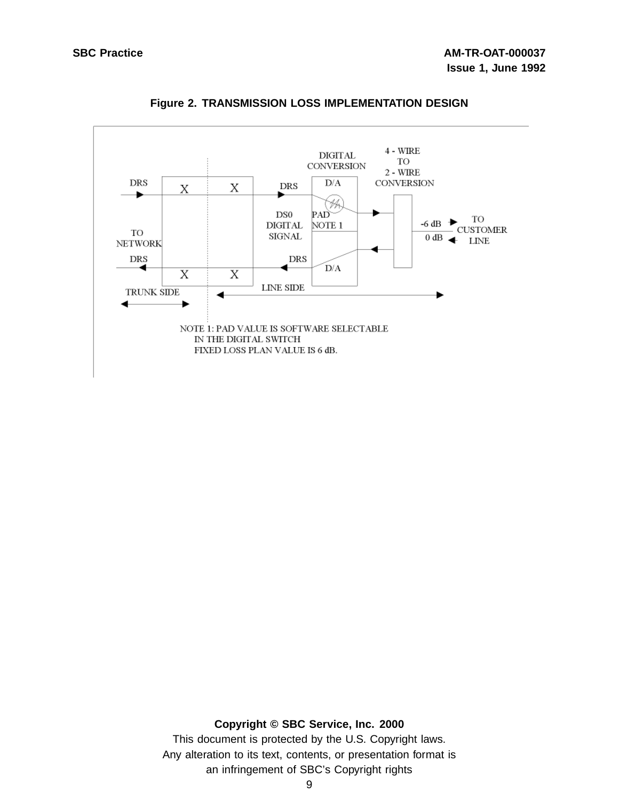

#### **Figure 2. TRANSMISSION LOSS IMPLEMENTATION DESIGN**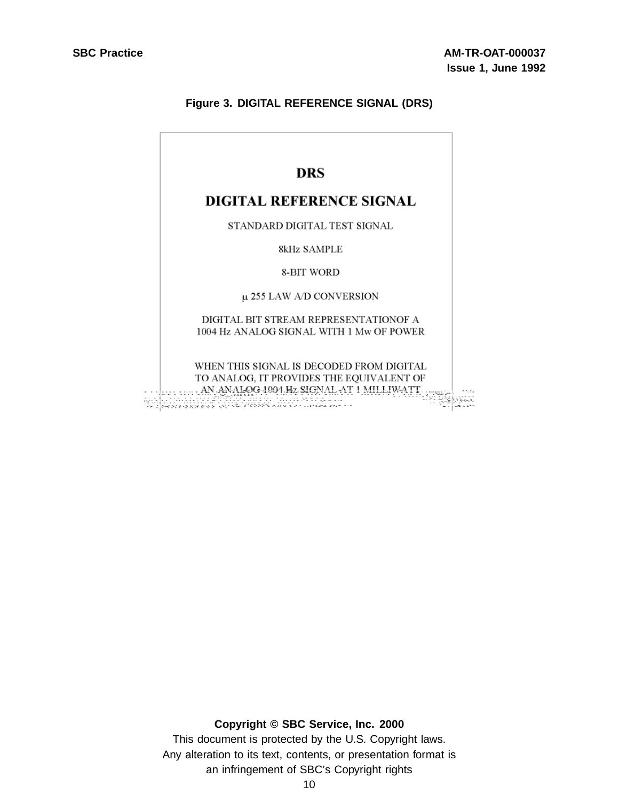## **Figure 3. DIGITAL REFERENCE SIGNAL (DRS)**

| DRS                                                                                  |
|--------------------------------------------------------------------------------------|
| <b>DIGITAL REFERENCE SIGNAL</b>                                                      |
| STANDARD DIGITAL TEST SIGNAL                                                         |
| 8kHz SAMPLE                                                                          |
| 8-BIT WORD                                                                           |
| $\mu$ 255 LAW A/D CONVERSION                                                         |
| DIGITAL BIT STREAM REPRESENTATIONOF A<br>1004 Hz ANALOG SIGNAL WITH 1 Mw OF POWER    |
| WHEN THIS SIGNAL IS DECODED FROM DIGITAL<br>TO ANALOG, IT PROVIDES THE EQUIVALENT OF |
| AN ANALOG 1004 Hz SIGNAL AT<br>AH LIWATT                                             |

**Copyright © SBC Service, Inc. 2000**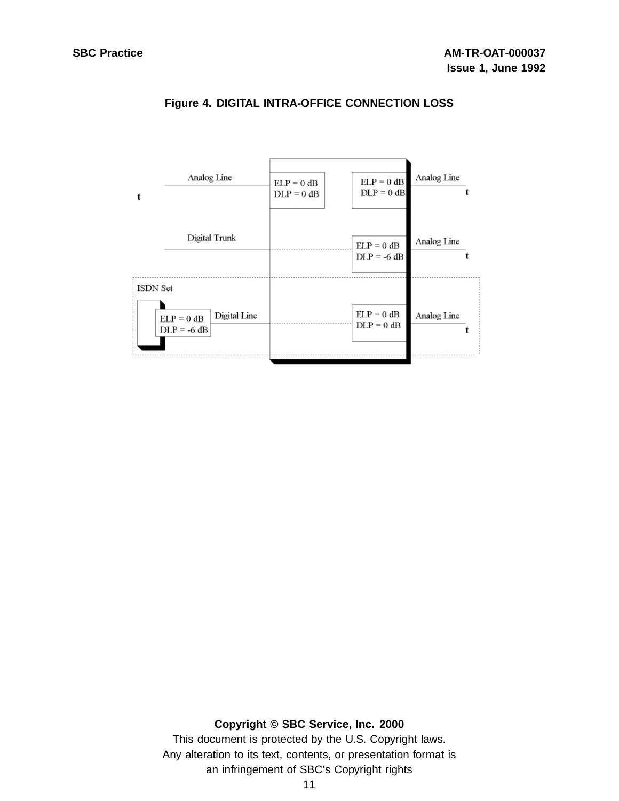

#### **Figure 4. DIGITAL INTRA-OFFICE CONNECTION LOSS**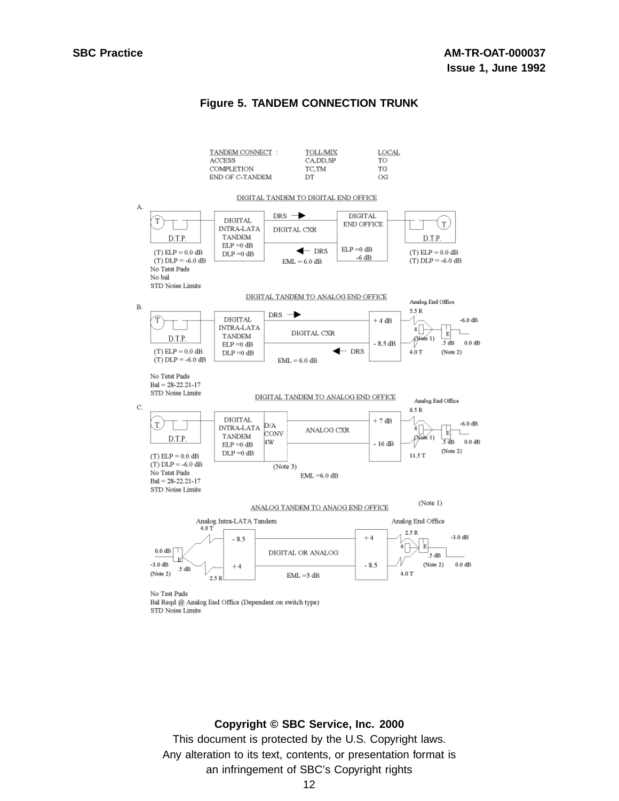#### **Figure 5. TANDEM CONNECTION TRUNK**



STD Noise Limits

#### **Copyright © SBC Service, Inc. 2000**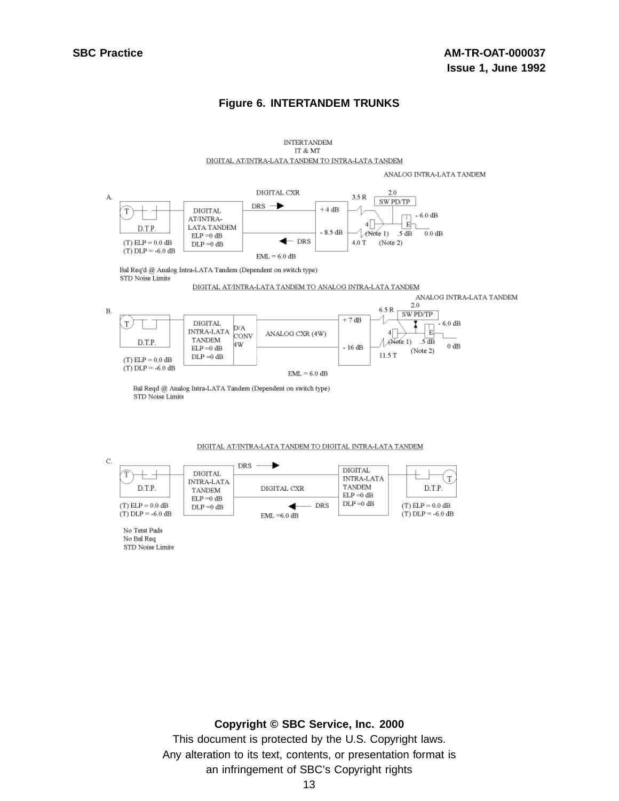#### **Figure 6. INTERTANDEM TRUNKS**

**INTERTANDEM** IT & MT DIGITAL AT/INTRA-LATA TANDEM TO INTRA-LATA TANDEM

ANALOG INTRA-LATA TANDEM



Bal Req'd @ Analog Intra-LATA Tandem (Dependent on switch type) STD Noise Limits





Bal $\text{Reqd} \text{ @}$ Analog Intra-LATA Tandem (Dependent on switch type) STD Noise Limits

DIGITAL AT/INTRA-LATA TANDEM TO DIGITAL INTRA-LATA TANDEM



No Tetst Pads No Bal Req STD Noise Limits

#### **Copyright © SBC Service, Inc. 2000**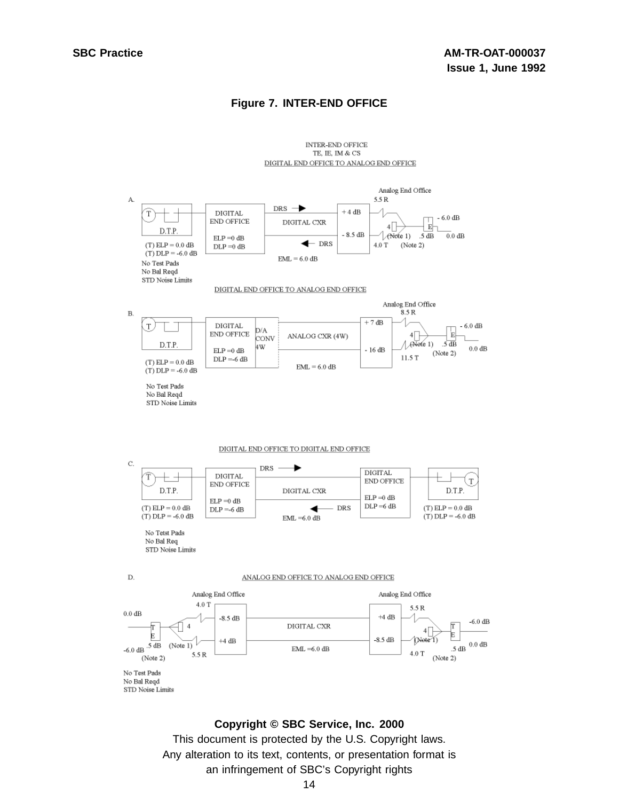#### **Figure 7. INTER-END OFFICE**

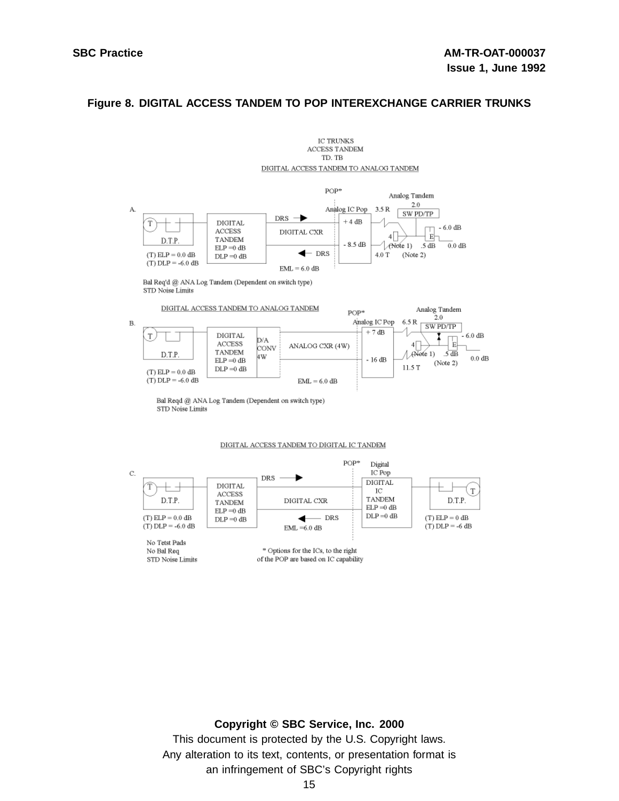#### **Figure 8. DIGITAL ACCESS TANDEM TO POP INTEREXCHANGE CARRIER TRUNKS**

**IC TRUNKS** 



#### DIGITAL ACCESS TANDEM TO DIGITAL IC TANDEM



#### **Copyright © SBC Service, Inc. 2000**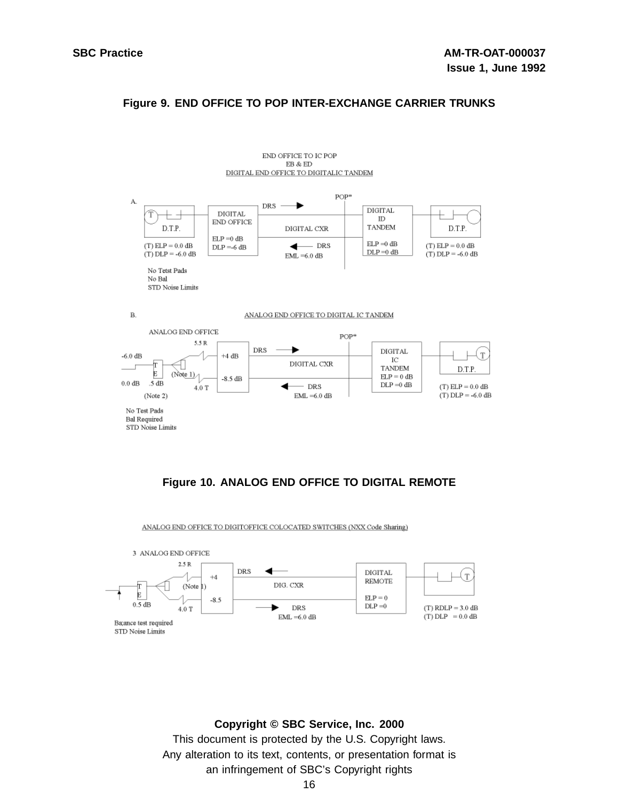#### **Figure 9. END OFFICE TO POP INTER-EXCHANGE CARRIER TRUNKS**



#### **Figure 10. ANALOG END OFFICE TO DIGITAL REMOTE**

ANALOG END OFFICE TO DIGITOFFICE COLOCATED SWITCHES (NXX Code Sharing)

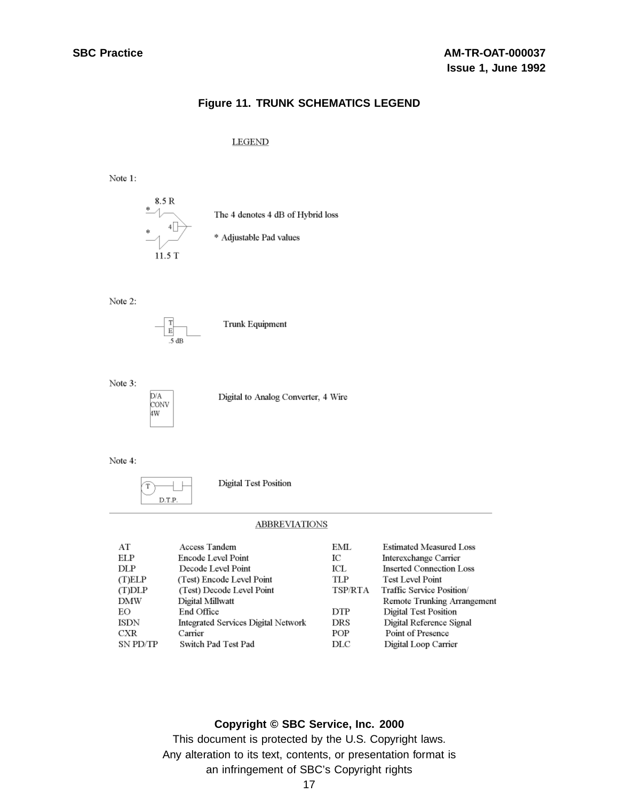#### **Figure 11. TRUNK SCHEMATICS LEGEND**

#### **LEGEND**

Note 1:



The 4 denotes 4 dB of Hybrid loss \* Adjustable Pad values

#### Note 2:



Trunk Equipment

Note 3:



Digital to Analog Converter, 4 Wire

#### Note 4:



Digital Test Position

#### **ABBREVIATIONS**

| AT       | Access Tandem                       | EML            | <b>Estimated Measured Loss</b>  |
|----------|-------------------------------------|----------------|---------------------------------|
| ELP      | Encode Level Point                  | IС             | Interexchange Carrier           |
| DLP      | Decode Level Point                  | ICL.           | <b>Inserted Connection Loss</b> |
| (T)ELP   | (Test) Encode Level Point           | TLP.           | <b>Test Level Point</b>         |
| (T)DLP   | (Test) Decode Level Point           | <b>TSP/RTA</b> | Traffic Service Position        |
| DMW      | Digital Millwatt                    |                | Remote Trunking Arrangement     |
| EO.      | End Office                          | DTP.           | Digital Test Position           |
| ISDN     | Integrated Services Digital Network | DRS            | Digital Reference Signal        |
| CXR      | Carrier                             | POP            | Point of Presence               |
| SN PD/TP | Switch Pad Test Pad                 | DLC            | Digital Loop Carrier            |
|          |                                     |                |                                 |

#### **Copyright © SBC Service, Inc. 2000**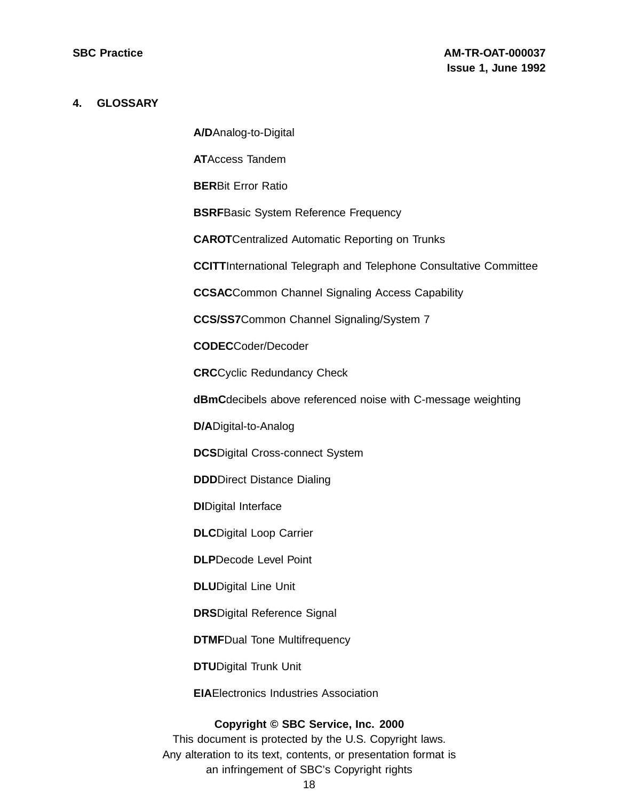**4. GLOSSARY**

**A/D**Analog-to-Digital

**AT**Access Tandem

**BER**Bit Error Ratio

**BSRF**Basic System Reference Frequency

**CAROT**Centralized Automatic Reporting on Trunks

**CCITT**International Telegraph and Telephone Consultative Committee

**CCSAC**Common Channel Signaling Access Capability

**CCS/SS7**Common Channel Signaling/System 7

**CODEC**Coder/Decoder

**CRC**Cyclic Redundancy Check

**dBmC**decibels above referenced noise with C-message weighting

**D/A**Digital-to-Analog

**DCS**Digital Cross-connect System

**DDD**Direct Distance Dialing

**DI**Digital Interface

**DLC**Digital Loop Carrier

**DLP**Decode Level Point

**DLU**Digital Line Unit

**DRS**Digital Reference Signal

**DTMF**Dual Tone Multifrequency

**DTU**Digital Trunk Unit

**EIA**Electronics Industries Association

#### **Copyright © SBC Service, Inc. 2000**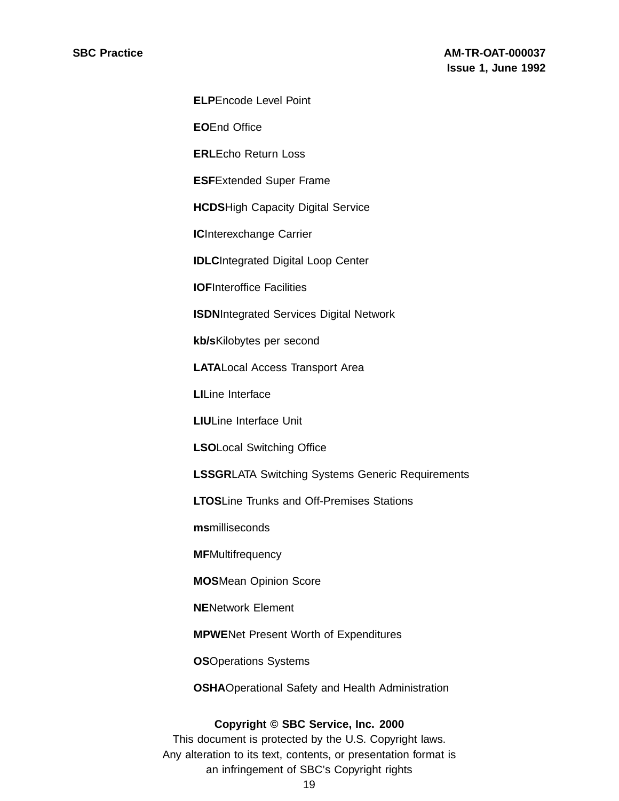**ELP**Encode Level Point

**EO**End Office

**ERL**Echo Return Loss

**ESF**Extended Super Frame

**HCDS**High Capacity Digital Service

**IC**Interexchange Carrier

**IDLC**Integrated Digital Loop Center

**IOF**Interoffice Facilities

**ISDN**Integrated Services Digital Network

**kb/s**Kilobytes per second

**LATA**Local Access Transport Area

**LI**Line Interface

**LIU**Line Interface Unit

**LSO**Local Switching Office

**LSSGR**LATA Switching Systems Generic Requirements

**LTOS**Line Trunks and Off-Premises Stations

**ms**milliseconds

**MF**Multifrequency

**MOS**Mean Opinion Score

**NE**Network Element

**MPWE**Net Present Worth of Expenditures

**OS**Operations Systems

**OSHA**Operational Safety and Health Administration

#### **Copyright © SBC Service, Inc. 2000**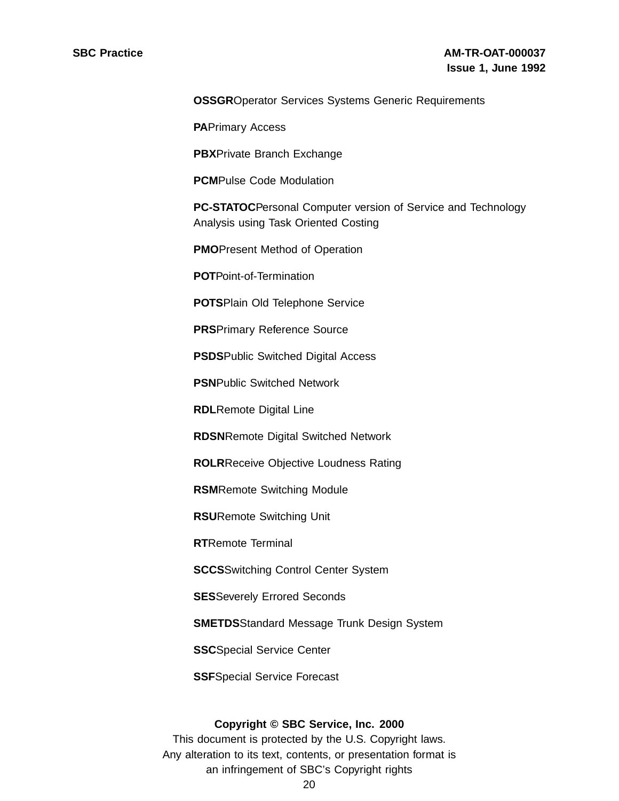#### **OSSGR**Operator Services Systems Generic Requirements

**PA**Primary Access

**PBX**Private Branch Exchange

**PCM**Pulse Code Modulation

**PC-STATOC**Personal Computer version of Service and Technology Analysis using Task Oriented Costing

**PMO**Present Method of Operation

**POT**Point-of-Termination

**POTS**Plain Old Telephone Service

**PRS**Primary Reference Source

**PSDS**Public Switched Digital Access

**PSN**Public Switched Network

**RDL**Remote Digital Line

**RDSN**Remote Digital Switched Network

**ROLR**Receive Objective Loudness Rating

**RSM**Remote Switching Module

**RSU**Remote Switching Unit

**RT**Remote Terminal

**SCCS**Switching Control Center System

**SES**Severely Errored Seconds

**SMETDS**Standard Message Trunk Design System

**SSC**Special Service Center

**SSF**Special Service Forecast

#### **Copyright © SBC Service, Inc. 2000**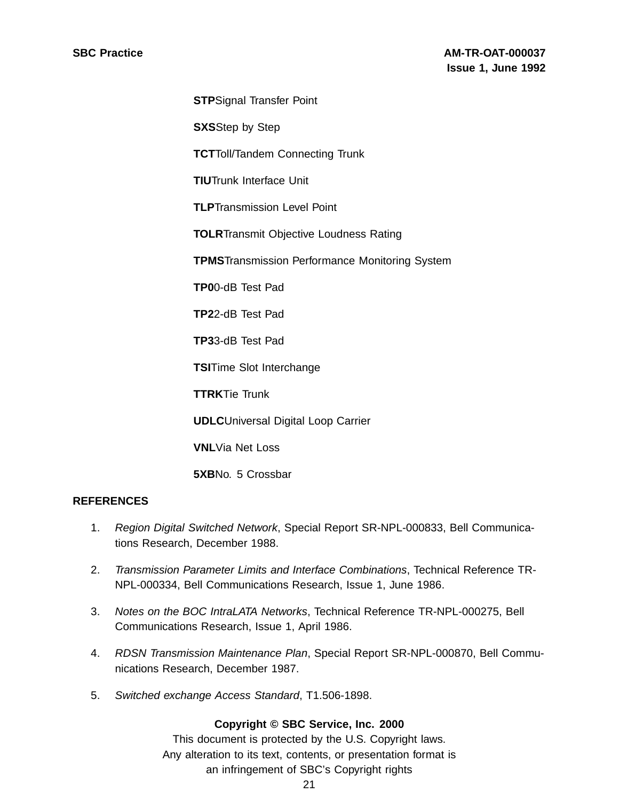**STP**Signal Transfer Point

**SXS**Step by Step

**TCT**Toll/Tandem Connecting Trunk

**TIU**Trunk Interface Unit

**TLP**Transmission Level Point

**TOLR**Transmit Objective Loudness Rating

**TPMS**Transmission Performance Monitoring System

**TP0**0-dB Test Pad

**TP2**2-dB Test Pad

**TP3**3-dB Test Pad

**TSI**Time Slot Interchange

**TTRK**Tie Trunk

**UDLC**Universal Digital Loop Carrier

**VNL**Via Net Loss

**5XB**No. 5 Crossbar

#### **REFERENCES**

- 1. Region Digital Switched Network, Special Report SR-NPL-000833, Bell Communications Research, December 1988.
- 2. Transmission Parameter Limits and Interface Combinations, Technical Reference TR-NPL-000334, Bell Communications Research, Issue 1, June 1986.
- 3. Notes on the BOC IntraLATA Networks, Technical Reference TR-NPL-000275, Bell Communications Research, Issue 1, April 1986.
- 4. RDSN Transmission Maintenance Plan, Special Report SR-NPL-000870, Bell Communications Research, December 1987.
- 5. Switched exchange Access Standard, T1.506-1898.

#### **Copyright © SBC Service, Inc. 2000**